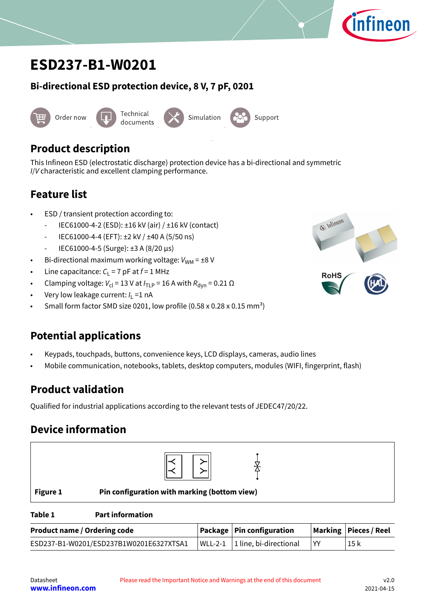

# <span id="page-0-0"></span>**ESD237-B1-W0201**

### **Bi-directional ESD protection device, 8 V, 7 pF, 0201**



# **Product description**

This Infineon ESD (electrostatic discharge) protection device has a bi-directional and symmetric I/V characteristic and excellent clamping performance.

## **Feature list**

- ESD / transient protection according to:
	- IEC61000-4-2 (ESD): ±16 kV (air) / ±16 kV (contact)
	- IEC61000-4-4 (EFT): ±2 kV / ±40 A (5/50 ns)
	- IEC61000-4-5 (Surge): ±3 A (8/20 μs)
- Bi-directional maximum working voltage:  $V_{WM} = \pm 8 \text{ V}$
- Line capacitance:  $C_{L}$  = 7 pF at  $f$  = 1 MHz
- Clamping voltage:  $V_{\text{cl}} = 13$  V at  $I_{\text{TLP}} = 16$  A with  $R_{\text{dyn}} = 0.21 \Omega$
- Very low leakage current:  $I_{\mathsf{L}}$  =1 nA
- Small form factor SMD size 0201, low profile  $(0.58 \times 0.28 \times 0.15 \text{ mm}^3)$

# **Potential applications**

- Keypads, touchpads, buttons, convenience keys, LCD displays, cameras, audio lines
- Mobile communication, notebooks, tablets, desktop computers, modules (WIFI, fingerprint, flash)

# **Product validation**

Qualified for industrial applications according to the relevant tests of JEDEC47/20/22.

## **Device information**





**Figure 1 Pin configuration with marking (bottom view)**

#### **Table 1 Part information**

| <b>Product name / Ordering code</b>     | Package   Pin configuration        |     | Marking   Pieces / Reel |
|-----------------------------------------|------------------------------------|-----|-------------------------|
| ESD237-B1-W0201/ESD237B1W0201E6327XTSA1 | $ WLL-2-1 $ 1 line, bi-directional | ∣YY | 15k                     |

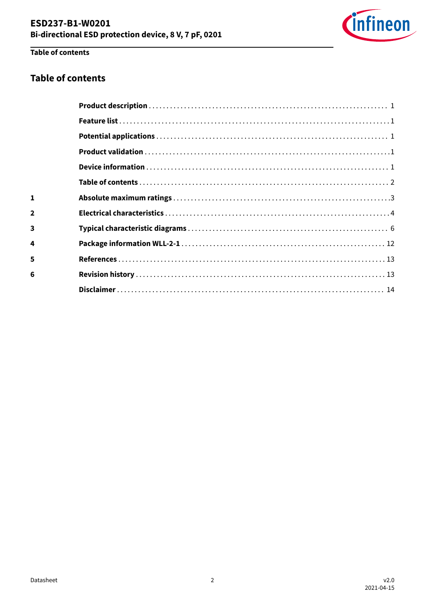

# Table of contents

 $\mathbf{1}$ 

 $\overline{\mathbf{2}}$ 

 $\overline{\mathbf{3}}$ 

 $\overline{\mathbf{4}}$ 

 $\overline{\mathbf{5}}$ 

 $6\phantom{a}$ 

### **Table of contents**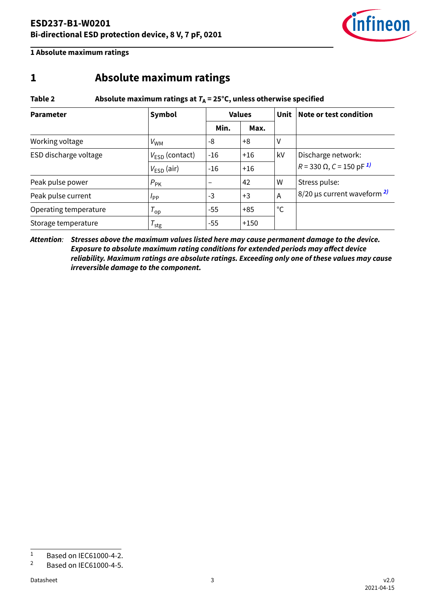

<span id="page-2-0"></span>**1 Absolute maximum ratings**

## **1 Absolute maximum ratings**

#### Table 2 **Absolute maximum ratings at**  $T_A = 25^\circ C$ **, unless otherwise specified**

| <b>Parameter</b>      | Symbol              |                 | <b>Values</b> | Unit | Note or test condition                      |  |
|-----------------------|---------------------|-----------------|---------------|------|---------------------------------------------|--|
|                       |                     | Min.            | Max.          |      |                                             |  |
| Working voltage       | $V_{WM}$            | -8              | $+8$          | ٧    |                                             |  |
| ESD discharge voltage | $V_{ESD}$ (contact) | $-16$           | $+16$         | kV   | Discharge network:                          |  |
|                       | $V_{ESD}$ (air)     | $-16$           | $+16$         |      | $R = 330 \Omega$ , C = 150 pF <sup>1)</sup> |  |
| Peak pulse power      | $P_{\rm PK}$        | $\qquad \qquad$ | 42            | W    | Stress pulse:                               |  |
| Peak pulse current    | $I_{PP}$            | $-3$            | $+3$          | A    | $8/20$ µs current waveform $2$              |  |
| Operating temperature | $T_{op}$            | $-55$           | $+85$         | °C   |                                             |  |
| Storage temperature   | $\tau_{\text{stg}}$ | $-55$           | $+150$        |      |                                             |  |

**Attention**: **Stresses above the maximum values listed here may cause permanent damage to the device. Exposure to absolute maximum rating conditions for extended periods may affect device reliability. Maximum ratings are absolute ratings. Exceeding only one of these values may cause irreversible damage to the component.**

 $\frac{1}{2}$  Based on IEC61000-4-2.

<sup>2</sup> Based on IEC61000-4-5.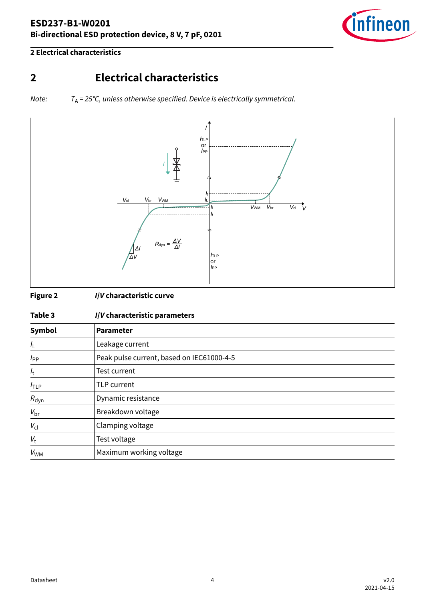

### <span id="page-3-0"></span>**2 Electrical characteristics**

# **2 Electrical characteristics**

Note:  $T_A = 25^{\circ}C$ , unless otherwise specified. Device is electrically symmetrical.



#### **Figure 2 I/V characteristic curve**

#### **Table 3 I/V characteristic parameters**

| Symbol           | <b>Parameter</b>                          |
|------------------|-------------------------------------------|
| $I_{\mathsf{L}}$ | Leakage current                           |
| $I_{PP}$         | Peak pulse current, based on IEC61000-4-5 |
| $I_{t}$          | Test current                              |
| $I_{\text{TLP}}$ | TLP current                               |
| $R_{dyn}$        | Dynamic resistance                        |
| $V_{\text{br}}$  | Breakdown voltage                         |
| $V_{\text{cl}}$  | Clamping voltage                          |
| $V_{\rm t}$      | Test voltage                              |
| $V_{WM}$         | Maximum working voltage                   |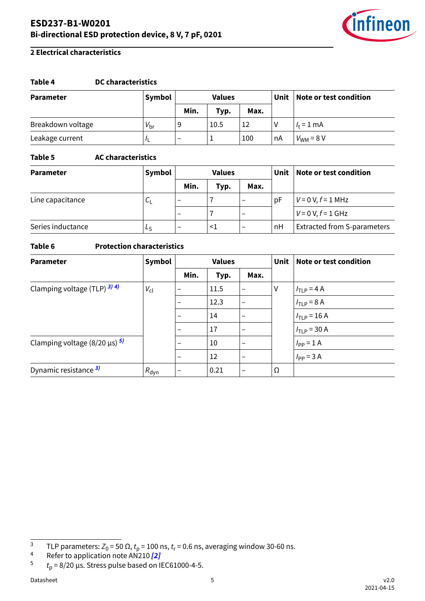

#### **2 Electrical characteristics**

#### **Table 4 DC characteristics**

| <b>Parameter</b>  | <b>Symbol</b> | <b>Values</b>            |      | Unit | Note or test condition |                    |
|-------------------|---------------|--------------------------|------|------|------------------------|--------------------|
|                   |               | Min.                     | Typ. | Max. |                        |                    |
| Breakdown voltage | $V_{\rm br}$  | 9                        | 10.5 | 12   |                        | $l_{\rm t} = 1$ mA |
| Leakage current   |               | $\overline{\phantom{0}}$ |      | 100  | nA                     | $V_{WM}$ = 8 V     |

#### **Table 5 AC characteristics**

| <b>Parameter</b>  | Symbol | <b>Values</b>            |      | Unit            | Note or test condition |                                    |
|-------------------|--------|--------------------------|------|-----------------|------------------------|------------------------------------|
|                   |        | Min.                     | Typ. | Max.            |                        |                                    |
| Line capacitance  | ີີ     |                          |      | -               | рF                     | $V = 0 V, f = 1 MHz$               |
|                   |        | $\overline{\phantom{0}}$ |      | $\qquad \qquad$ |                        | $V = 0 V, f = 1 GHz$               |
| Series inductance | LS     | $\overline{\phantom{0}}$ | <1   | -               | nH                     | <b>Extracted from S-parameters</b> |

#### **Table 6 Protection characteristics**

| <b>Parameter</b>                                | Symbol<br><b>Values</b> |                          |      | Unit                     | Note or test condition |                                 |
|-------------------------------------------------|-------------------------|--------------------------|------|--------------------------|------------------------|---------------------------------|
|                                                 |                         | Min.                     | Typ. | Max.                     |                        |                                 |
| Clamping voltage (TLP) 3) 4)                    | $V_{\text{cl}}$         | $\overline{\phantom{0}}$ | 11.5 | $\overline{\phantom{0}}$ | V                      | $I_{\text{TIP}} = 4 \text{ A}$  |
|                                                 |                         | $\qquad \qquad$          | 12.3 | $\overline{\phantom{m}}$ |                        | $ITLP = 8 A$                    |
|                                                 |                         | $\overline{\phantom{0}}$ | 14   |                          |                        | $I_{\text{TLP}} = 16 \text{ A}$ |
|                                                 |                         | $\qquad \qquad$          | 17   |                          |                        | $I_{\text{TLP}}$ = 30 A         |
| Clamping voltage $(8/20 \,\mu s)$ <sup>5)</sup> |                         |                          | 10   |                          |                        | $I_{PP} = 1$ A                  |
|                                                 |                         | $\overline{\phantom{0}}$ | 12   | $\overline{\phantom{0}}$ |                        | $I_{PP}$ = 3 A                  |
| Dynamic resistance <sup>3)</sup>                | $R_{\text{dyn}}$        | $\overline{\phantom{0}}$ | 0.21 | $\overline{\phantom{m}}$ | Ω                      |                                 |

<sup>&</sup>lt;sup>3</sup> TLP parameters: Z<sub>0</sub> = 50 Ω,  $t_{\sf p}$  = 100 ns,  $t_{\sf r}$  = 0.6 ns, averaging window 30-60 ns.

<sup>4</sup> Refer to application note AN210 **[\[2\]](#page-12-0)**

<sup>5</sup>  $t_{\sf p}$  = 8/20 µs. Stress pulse based on IEC61000-4-5.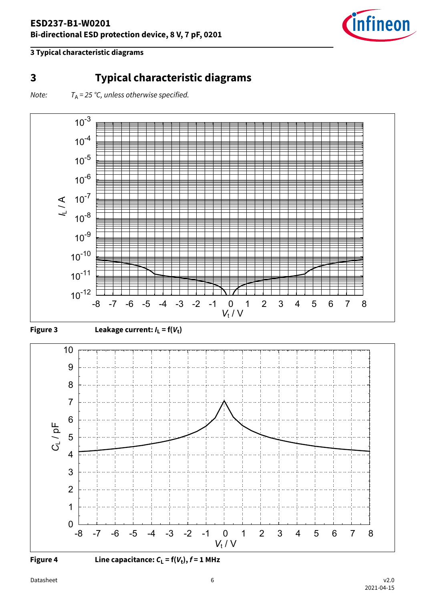

### <span id="page-5-0"></span>**3 Typical characteristic diagrams**

# **3 Typical characteristic diagrams**

Note:  $T_A = 25$  °C, unless otherwise specified.





**Figure 4 Line capacitance: C<sup>L</sup> = f(V<sup>t</sup> ), f = 1 MHz**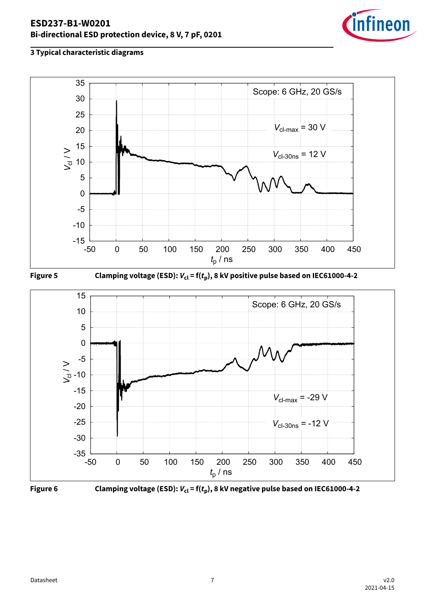









**Figure 6** Clamping voltage (ESD):  $V_{\text{cl}} = f(t_{\text{p}})$ , 8 kV negative pulse based on IEC61000-4-2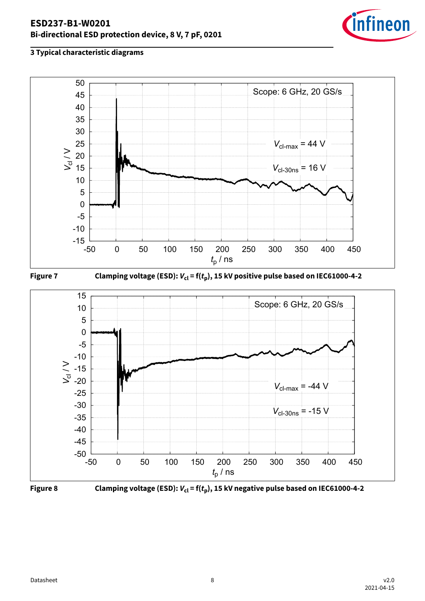





**Figure 7** Clamping voltage (ESD):  $V_{cl}$  = f( $t_p$ ), 15 kV positive pulse based on IEC61000-4-2





**Figure 8** Clamping voltage (ESD):  $V_{\text{cl}} = f(t_p)$ , 15 kV negative pulse based on IEC61000-4-2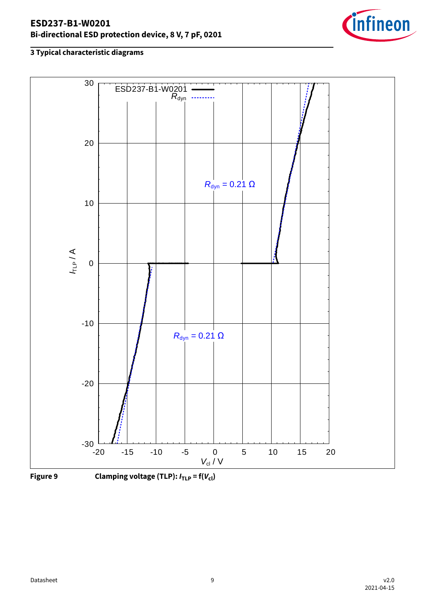





Figure 9 Clamping voltage (TLP):  $I_{\text{TLP}} = f(V_{\text{cl}})$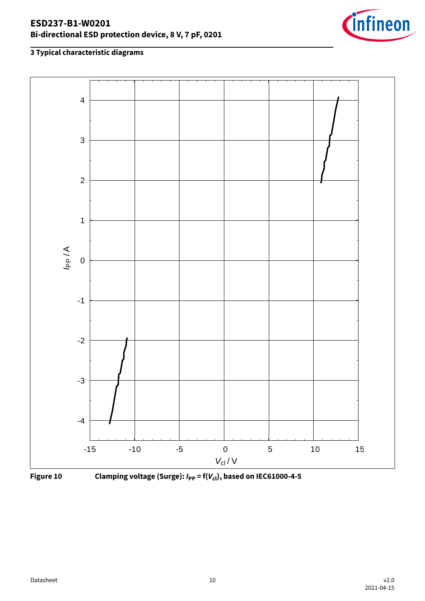





Figure 10 Clamping voltage (Surge):  $I_{PP} = f(V_{cl})$ , based on IEC61000-4-5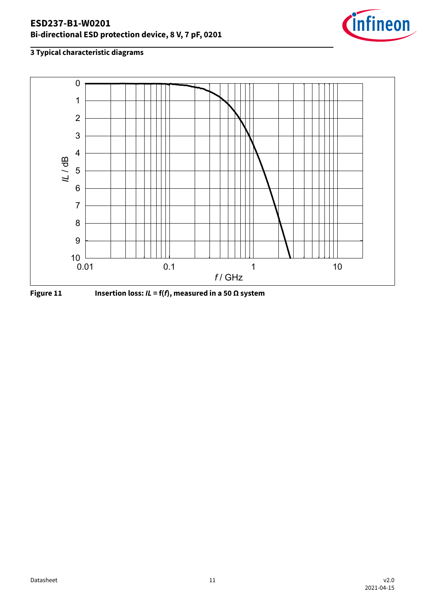



**Figure 11 Insertion loss: IL = f(f), measured in a 50 Ω system**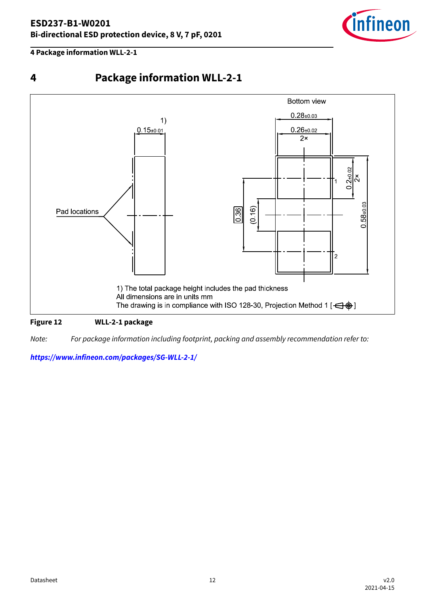

<span id="page-11-0"></span>**4 Package information WLL-2-1**





Note: For package information including footprint, packing and assembly recommendation refer to:

**<https://www.infineon.com/packages/SG-WLL-2-1/>**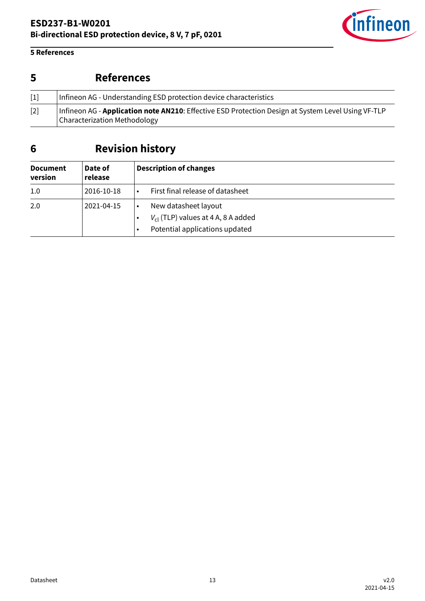

### <span id="page-12-0"></span>**5 References**

# **5 References**

| $[1]$ | Infineon AG - Understanding ESD protection device characteristics                                                                                 |
|-------|---------------------------------------------------------------------------------------------------------------------------------------------------|
| $[2]$ | Infineon AG - <b>Application note AN210</b> : Effective ESD Protection Design at System Level Using VF-TLP<br><b>Characterization Methodology</b> |

# **6 Revision history**

| <b>Document</b><br>version | Date of<br>release | <b>Description of changes</b>                                                                            |
|----------------------------|--------------------|----------------------------------------------------------------------------------------------------------|
| 1.0                        | 2016-10-18         | First final release of datasheet                                                                         |
| 2.0                        | 2021-04-15         | New datasheet layout<br>$V_{\text{cl}}$ (TLP) values at 4 A, 8 A added<br>Potential applications updated |